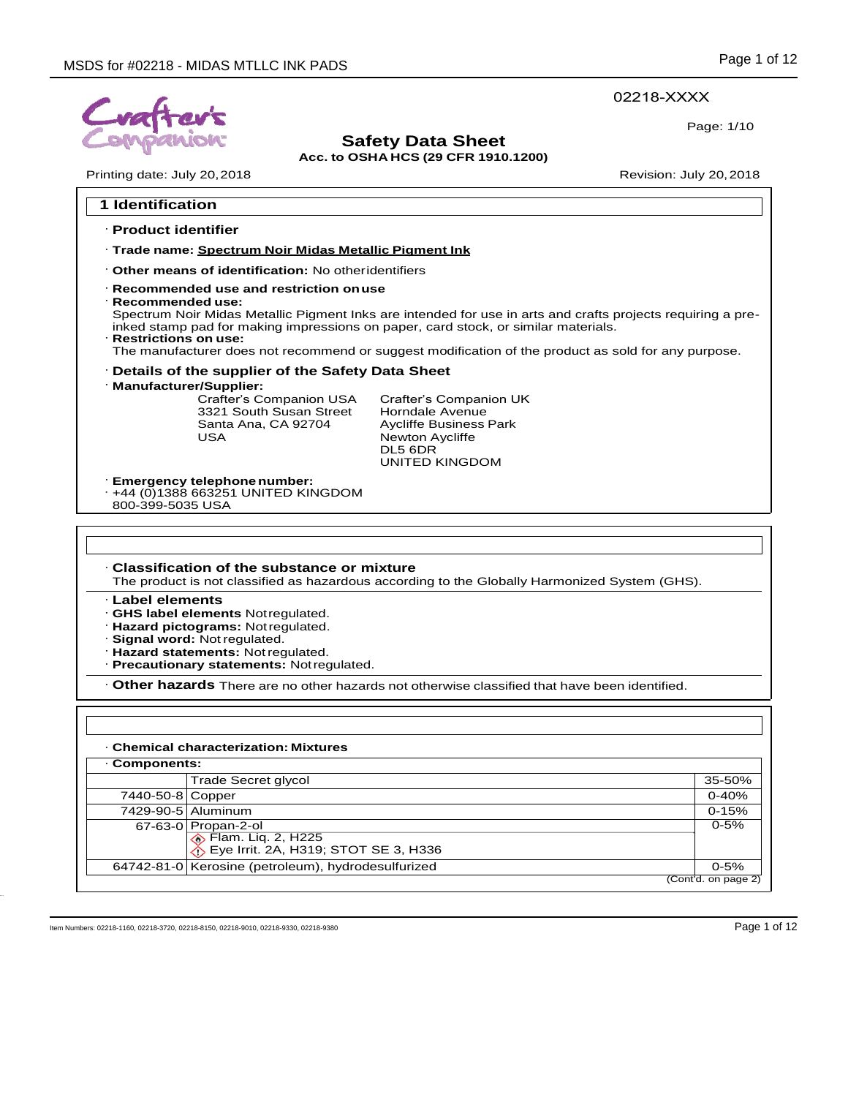### 02218-XXXX

Page: 1/10

# **Safety Data Sheet**

**Acc. to OSHA HCS (29 CFR 1910.1200)**

Printing date: July 20, 2018 **Printing date: July 20, 2018** 

Г

| <b>1 Identification</b>                      |                                                                                                                                                                                                |                                                                                                                                                                                                                                                                                                          |           |
|----------------------------------------------|------------------------------------------------------------------------------------------------------------------------------------------------------------------------------------------------|----------------------------------------------------------------------------------------------------------------------------------------------------------------------------------------------------------------------------------------------------------------------------------------------------------|-----------|
| · Product identifier                         |                                                                                                                                                                                                |                                                                                                                                                                                                                                                                                                          |           |
|                                              | · Trade name: Spectrum Noir Midas Metallic Pigment Ink                                                                                                                                         |                                                                                                                                                                                                                                                                                                          |           |
|                                              | Other means of identification: No otheridentifiers                                                                                                                                             |                                                                                                                                                                                                                                                                                                          |           |
| · Recommended use:<br>· Restrictions on use: | · Recommended use and restriction on use                                                                                                                                                       | Spectrum Noir Midas Metallic Pigment Inks are intended for use in arts and crafts projects requiring a pre-<br>inked stamp pad for making impressions on paper, card stock, or similar materials.<br>The manufacturer does not recommend or suggest modification of the product as sold for any purpose. |           |
|                                              | · Details of the supplier of the Safety Data Sheet                                                                                                                                             |                                                                                                                                                                                                                                                                                                          |           |
| · Manufacturer/Supplier:                     | Crafter's Companion USA<br>3321 South Susan Street<br>Santa Ana, CA 92704<br><b>USA</b>                                                                                                        | Crafter's Companion UK<br>Horndale Avenue<br><b>Aycliffe Business Park</b><br>Newton Aycliffe<br>DL5 6DR<br><b>UNITED KINGDOM</b>                                                                                                                                                                        |           |
| 800-399-5035 USA                             | · Emergency telephone number:<br>$\cdot$ +44 (0)1388 663251 UNITED KINGDOM                                                                                                                     |                                                                                                                                                                                                                                                                                                          |           |
|                                              |                                                                                                                                                                                                |                                                                                                                                                                                                                                                                                                          |           |
|                                              | Classification of the substance or mixture                                                                                                                                                     | The product is not classified as hazardous according to the Globally Harmonized System (GHS).                                                                                                                                                                                                            |           |
| · Label elements                             | · GHS label elements Notregulated.<br>· Hazard pictograms: Not regulated.<br>· Signal word: Not regulated.<br>· Hazard statements: Not regulated.<br>· Precautionary statements: Notregulated. |                                                                                                                                                                                                                                                                                                          |           |
|                                              |                                                                                                                                                                                                | . Other hazards There are no other hazards not otherwise classified that have been identified.                                                                                                                                                                                                           |           |
|                                              | <b>Chemical characterization: Mixtures</b>                                                                                                                                                     |                                                                                                                                                                                                                                                                                                          |           |
| Components:                                  |                                                                                                                                                                                                |                                                                                                                                                                                                                                                                                                          |           |
|                                              | Trade Secret glycol                                                                                                                                                                            |                                                                                                                                                                                                                                                                                                          | 35-50%    |
| 7440-50-8 Copper                             |                                                                                                                                                                                                |                                                                                                                                                                                                                                                                                                          | $0 - 40%$ |
| 7429-90-5 Aluminum                           |                                                                                                                                                                                                |                                                                                                                                                                                                                                                                                                          | $0 - 15%$ |
|                                              | 67-63-0 Propan-2-ol<br><b>Elam.</b> Liq. 2, H225<br>Eye Irrit. 2A, H319; STOT SE 3, H336                                                                                                       |                                                                                                                                                                                                                                                                                                          | $0 - 5%$  |

64742-81-0 Kerosine (petroleum), hydrodesulfurized 0-5%

Item Numbers: 02218-1160, 02218-3720, 02218-8150, 02218-9010, 02218-9330, 02218-9380 Page 1 of 12

(Cont'd. on page 2)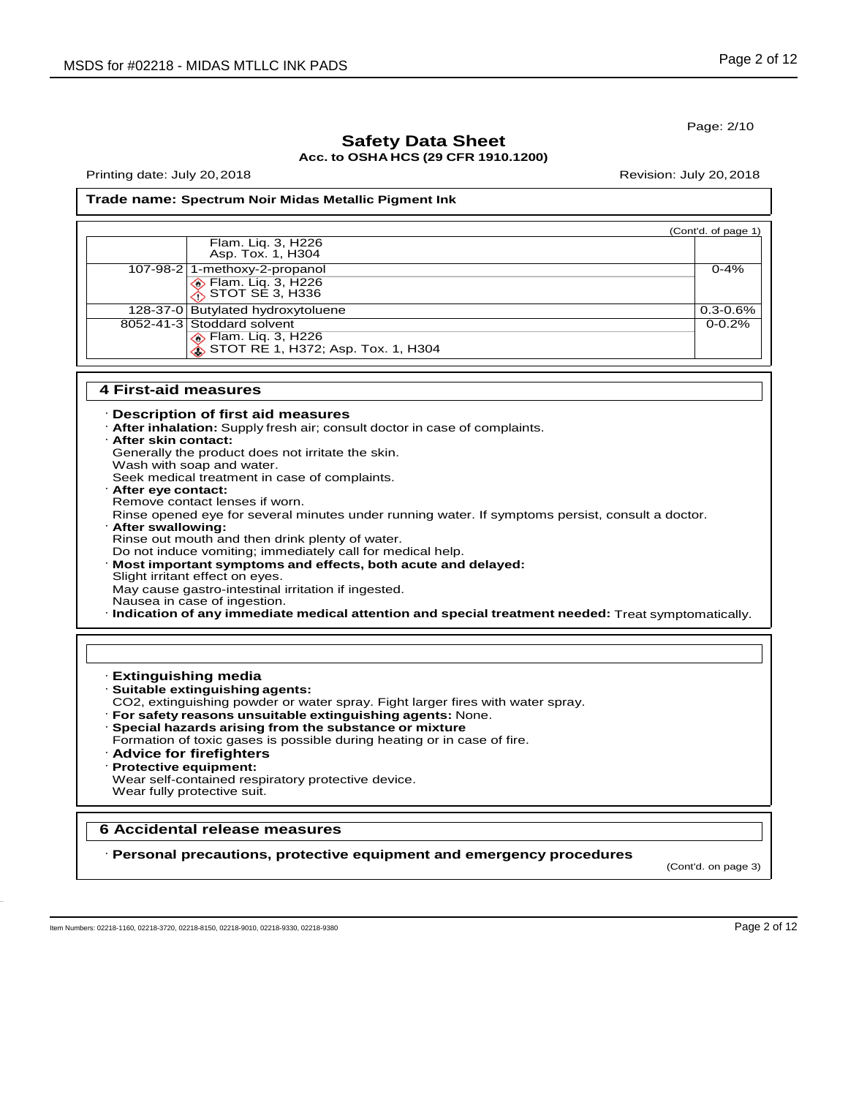Page: 2/10

### **Safety Data Sheet Acc. to OSHA HCS (29 CFR 1910.1200)**

Printing date: July 20,2018 Revision: July 20,2018

#### **Trade name: Spectrum Noir Midas Metallic Pigment Ink**

|                                                              | (Cont'd. of page 1) |
|--------------------------------------------------------------|---------------------|
| Flam. Liq. 3, H226<br>Asp. Tox. 1, H304                      |                     |
| 107-98-2 1-methoxy-2-propanol                                | $0 - 4%$            |
| Elam. Liq. 3, H226<br>∴STOT SE 3, H336                       |                     |
| 128-37-0 Butylated hydroxytoluene                            | $0.3 - 0.6%$        |
| 8052-41-3 Stoddard solvent                                   | $0 - 0.2%$          |
| ◈ Flam. Liq. 3, H226<br>◈ STOT RE 1, H372; Asp. Tox. 1, H304 |                     |

#### **4 First-aid measures**

#### · **Description of first aid measures**

· **After inhalation:** Supply fresh air; consult doctor in case of complaints.

#### · **After skin contact:** Generally the product does not irritate the skin.

Wash with soap and water.

Seek medical treatment in case of complaints.

- · **After eye contact:** Remove contact lenses if worn. Rinse opened eye for several minutes under running water. If symptoms persist, consult a doctor. · **After swallowing:** Rinse out mouth and then drink plenty of water. Do not induce vomiting; immediately call for medical help. · **Most important symptoms and effects, both acute and delayed:** Slight irritant effect on eyes.
- May cause gastro-intestinal irritation if ingested.
- Nausea in case of ingestion.

· **Indication of any immediate medical attention and special treatment needed:** Treat symptomatically.

#### · **Extinguishing media**

- · **Suitable extinguishing agents:**
- CO2, extinguishing powder or water spray. Fight larger fires with water spray.
- · **For safety reasons unsuitable extinguishing agents:** None.
- · **Special hazards arising from the substance or mixture**
- Formation of toxic gases is possible during heating or in case of fire.
- · **Advice for firefighters**
- · **Protective equipment:**
- Wear self-contained respiratory protective device. Wear fully protective suit.

### **6 Accidental release measures**

· **Personal precautions, protective equipment and emergency procedures**

(Cont'd. on page 3)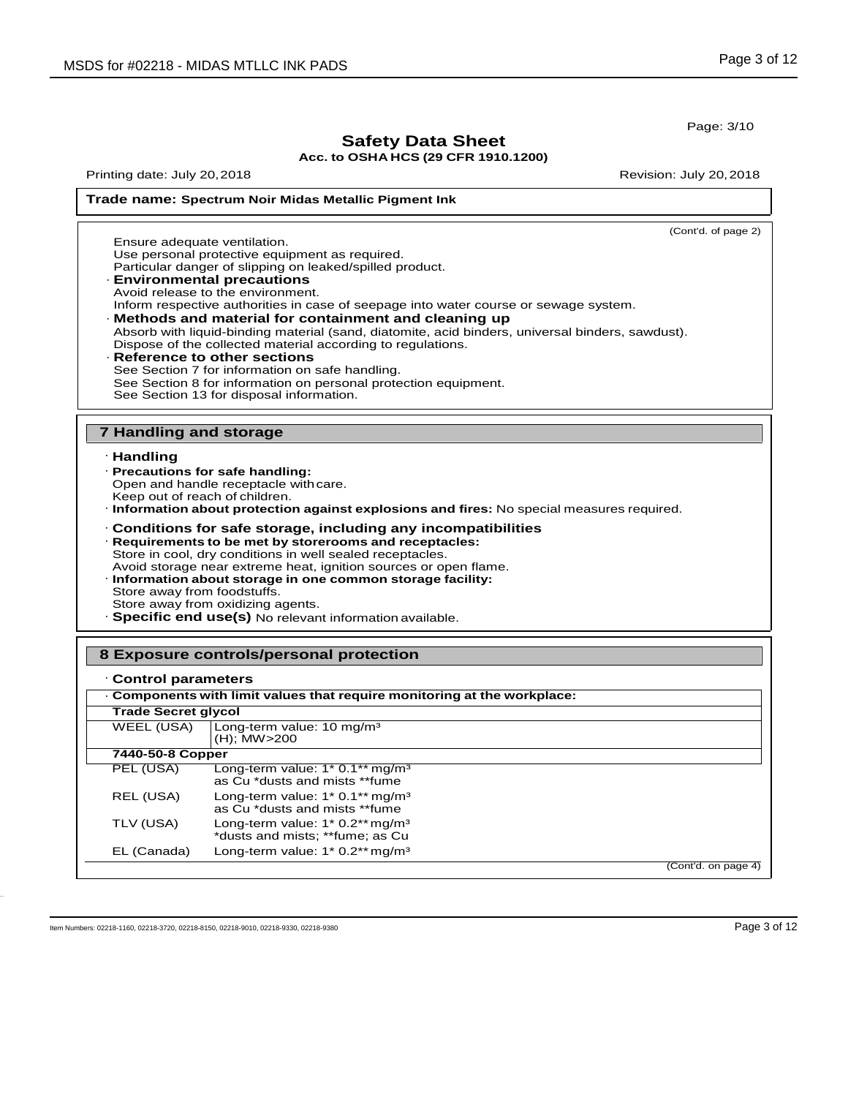**Trade name: Spectrum Noir Midas Metallic Pigment Ink**

Page: 3/10

# **Safety Data Sheet**

**Acc. to OSHA HCS (29 CFR 1910.1200)**

Printing date: July 20,2018 Revision: July 20,2018

#### (Cont'd. of page 2) · **Handling** · **Precautions for safe handling:**  Open and handle receptacle withcare. Keep out of reach of children. · **Information about protection against explosions and fires:** No special measures required. · **Conditions for safe storage, including any incompatibilities** · **Requirements to be met by storerooms and receptacles:** Store in cool, dry conditions in well sealed receptacles. Avoid storage near extreme heat, ignition sources or open flame. · **Information about storage in one common storage facility:** Store away from foodstuffs. Store away from oxidizing agents. · **Specific end use(s)** No relevant information available. · **Control parameters** PEL (USA) Long-term value: 1\* 0.1\*\* mg/m<sup>3</sup> as Cu \*dusts and mists \*\*fume REL (USA) Long-term value: 1\* 0.1\*\* mg/m<sup>3</sup> as Cu \*dusts and mists \*\*fume TLV (USA) Long-term value: 1\* 0.2\*\* mg/m<sup>3</sup> \*dusts and mists; \*\*fume; as Cu EL (Canada) Long-term value: 1\* 0.2\*\* mg/m<sup>3</sup> (Cont'd. on page 4) **7 Handling and storage 8 Exposure controls/personal protection** · **Components with limit values that require monitoring at the workplace: Trade Secret glycol** WEEL (USA) | Long-term value: 10 mg/m<sup>3</sup> (H); MW>200 **7440-50-8 Copper** Ensure adequate ventilation. Use personal protective equipment as required. Particular danger of slipping on leaked/spilled product. · **Environmental precautions** Avoid release to the environment. Inform respective authorities in case of seepage into water course or sewage system. · **Methods and material for containment and cleaning up** Absorb with liquid-binding material (sand, diatomite, acid binders, universal binders, sawdust). Dispose of the collected material according to regulations. · **Reference to other sections** See Section 7 for information on safe handling. See Section 8 for information on personal protection equipment. See Section 13 for disposal information.

Item Numbers: 02218-1160, 02218-3720, 02218-8150, 02218-9010, 02218-9330, 02218-9380 Page 3 of 12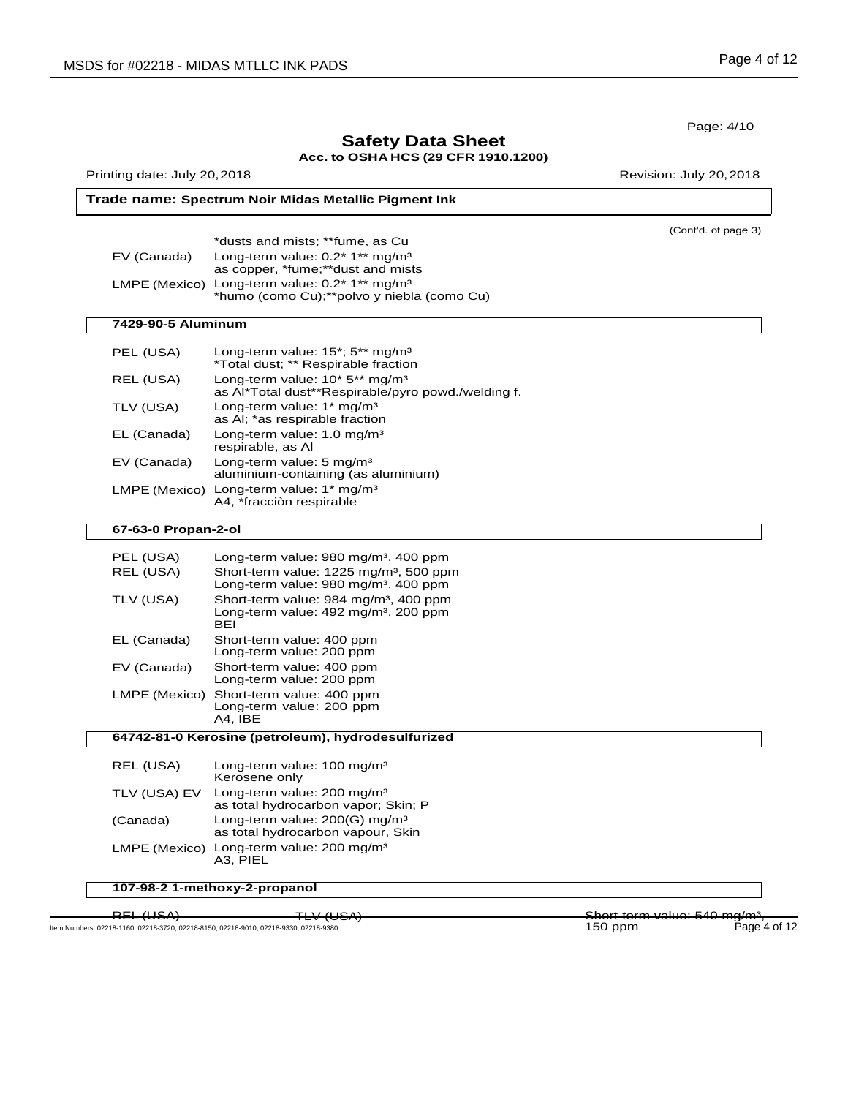|                              |                                                                                                                                                            | Page: 4/10          |
|------------------------------|------------------------------------------------------------------------------------------------------------------------------------------------------------|---------------------|
|                              | <b>Safety Data Sheet</b><br>Acc. to OSHA HCS (29 CFR 1910.1200)                                                                                            |                     |
| Printing date: July 20, 2018 | Revision: July 20, 2018                                                                                                                                    |                     |
|                              | Trade name: Spectrum Noir Midas Metallic Pigment Ink                                                                                                       |                     |
|                              |                                                                                                                                                            | (Cont'd. of page 3) |
| EV (Canada)                  | *dusts and mists; **fume, as Cu<br>Long-term value: 0.2* 1** mg/m <sup>3</sup><br>as copper, *fume;**dust and mists                                        |                     |
| LMPE (Mexico)                | Long-term value: 0.2* 1** mg/m <sup>3</sup><br>*humo (como Cu);**polvo y niebla (como Cu)                                                                  |                     |
| 7429-90-5 Aluminum           |                                                                                                                                                            |                     |
| PEL (USA)                    | Long-term value: $15^*$ ; $5^{**}$ mg/m <sup>3</sup><br>*Total dust; ** Respirable fraction                                                                |                     |
| REL (USA)                    | Long-term value: 10* 5** mg/m <sup>3</sup><br>as Al*Total dust**Respirable/pyro powd./welding f.                                                           |                     |
| TLV (USA)                    | Long-term value: 1* mg/m <sup>3</sup><br>as AI; *as respirable fraction                                                                                    |                     |
| EL (Canada)                  | Long-term value: 1.0 mg/m <sup>3</sup><br>respirable, as Al                                                                                                |                     |
| EV (Canada)                  | Long-term value: 5 mg/m <sup>3</sup><br>aluminium-containing (as aluminium)                                                                                |                     |
|                              | LMPE (Mexico) Long-term value: 1* mg/m <sup>3</sup><br>A4, *fracciòn respirable                                                                            |                     |
| 67-63-0 Propan-2-ol          |                                                                                                                                                            |                     |
| PEL (USA)<br>REL (USA)       | Long-term value: 980 mg/m <sup>3</sup> , 400 ppm<br>Short-term value: 1225 mg/m <sup>3</sup> , 500 ppm<br>Long-term value: 980 mg/m <sup>3</sup> , 400 ppm |                     |
| TLV (USA)                    | Short-term value: 984 mg/m <sup>3</sup> , 400 ppm<br>Long-term value: 492 mg/m <sup>3</sup> , 200 ppm<br>BEI                                               |                     |
| EL (Canada)                  | Short-term value: 400 ppm<br>Long-term value: 200 ppm                                                                                                      |                     |
| EV (Canada)                  | Short-term value: 400 ppm<br>Long-term value: 200 ppm                                                                                                      |                     |
|                              | LMPE (Mexico) Short-term value: 400 ppm<br>Long-term value: 200 ppm<br>A4, IBE                                                                             |                     |
|                              | 64742-81-0 Kerosine (petroleum), hydrodesulfurized                                                                                                         |                     |
| REL (USA)                    | Long-term value: 100 mg/m <sup>3</sup><br>Kerosene only                                                                                                    |                     |
| TLV (USA) EV                 | Long-term value: 200 mg/m <sup>3</sup><br>as total hydrocarbon vapor; Skin; P                                                                              |                     |
| (Canada)                     | Long-term value: 200(G) mg/m <sup>3</sup><br>as total hydrocarbon vapour, Skin                                                                             |                     |
|                              | LMPE (Mexico) Long-term value: 200 mg/m <sup>3</sup><br>A3, PIEL                                                                                           |                     |
|                              | 107-98-2 1-methoxy-2-propanol                                                                                                                              |                     |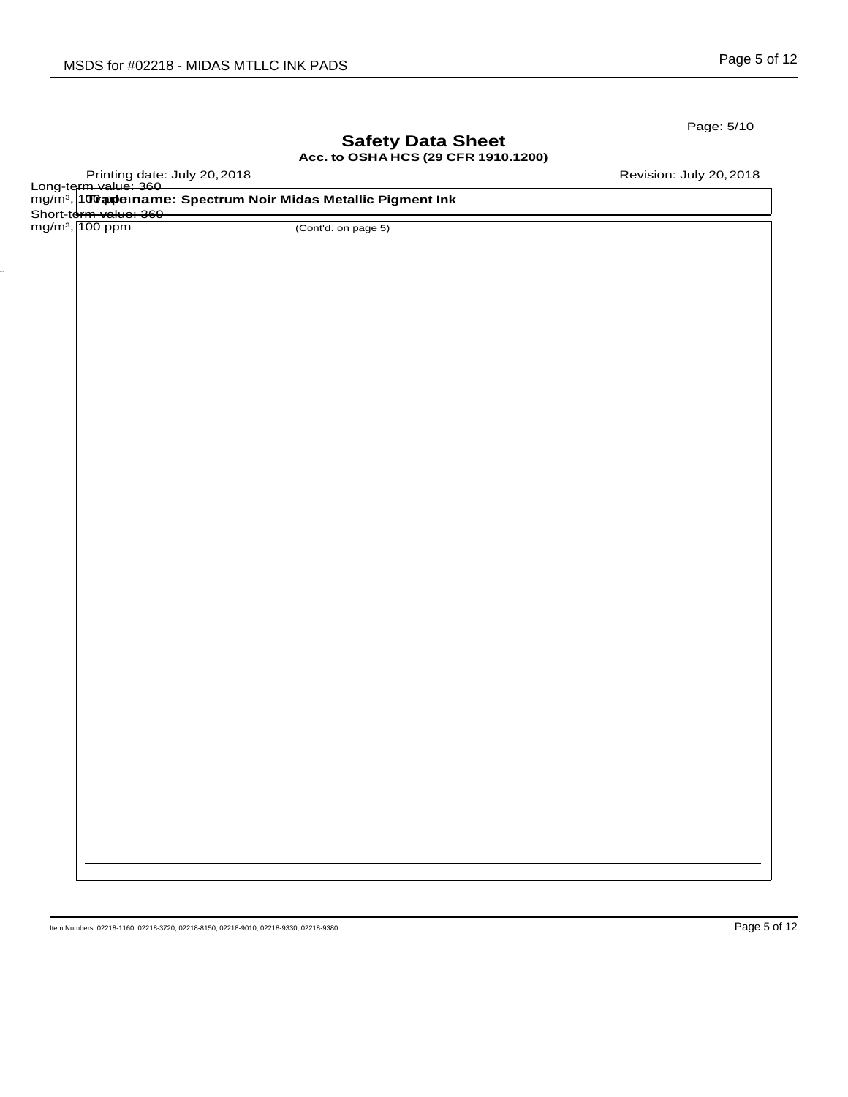Page: 5/10

## **Safety Data Sheet Acc. to OSHA HCS (29 CFR 1910.1200)**

Printing date: July 20,2018 Revision: July 20,2018

|                             | Long-term value: 360<br>mg/m <sup>3</sup> , 100 aplenname: Spectrum Noir Midas Metallic Pigment Ink |  |
|-----------------------------|-----------------------------------------------------------------------------------------------------|--|
| Short-term value: 369       |                                                                                                     |  |
| mg/m <sup>3</sup> , 100 ppm | (Cont'd. on page 5)                                                                                 |  |
|                             |                                                                                                     |  |
|                             |                                                                                                     |  |
|                             |                                                                                                     |  |
|                             |                                                                                                     |  |
|                             |                                                                                                     |  |
|                             |                                                                                                     |  |
|                             |                                                                                                     |  |
|                             |                                                                                                     |  |
|                             |                                                                                                     |  |
|                             |                                                                                                     |  |
|                             |                                                                                                     |  |
|                             |                                                                                                     |  |
|                             |                                                                                                     |  |
|                             |                                                                                                     |  |
|                             |                                                                                                     |  |
|                             |                                                                                                     |  |
|                             |                                                                                                     |  |
|                             |                                                                                                     |  |
|                             |                                                                                                     |  |
|                             |                                                                                                     |  |
|                             |                                                                                                     |  |
|                             |                                                                                                     |  |
|                             |                                                                                                     |  |
|                             |                                                                                                     |  |
|                             |                                                                                                     |  |
|                             |                                                                                                     |  |
|                             |                                                                                                     |  |
|                             |                                                                                                     |  |
|                             |                                                                                                     |  |
|                             |                                                                                                     |  |
|                             |                                                                                                     |  |
|                             |                                                                                                     |  |
|                             |                                                                                                     |  |
|                             |                                                                                                     |  |
|                             |                                                                                                     |  |
|                             |                                                                                                     |  |
|                             |                                                                                                     |  |
|                             |                                                                                                     |  |
|                             |                                                                                                     |  |
|                             |                                                                                                     |  |
|                             |                                                                                                     |  |
|                             |                                                                                                     |  |
|                             |                                                                                                     |  |
|                             |                                                                                                     |  |
|                             |                                                                                                     |  |
|                             |                                                                                                     |  |
|                             |                                                                                                     |  |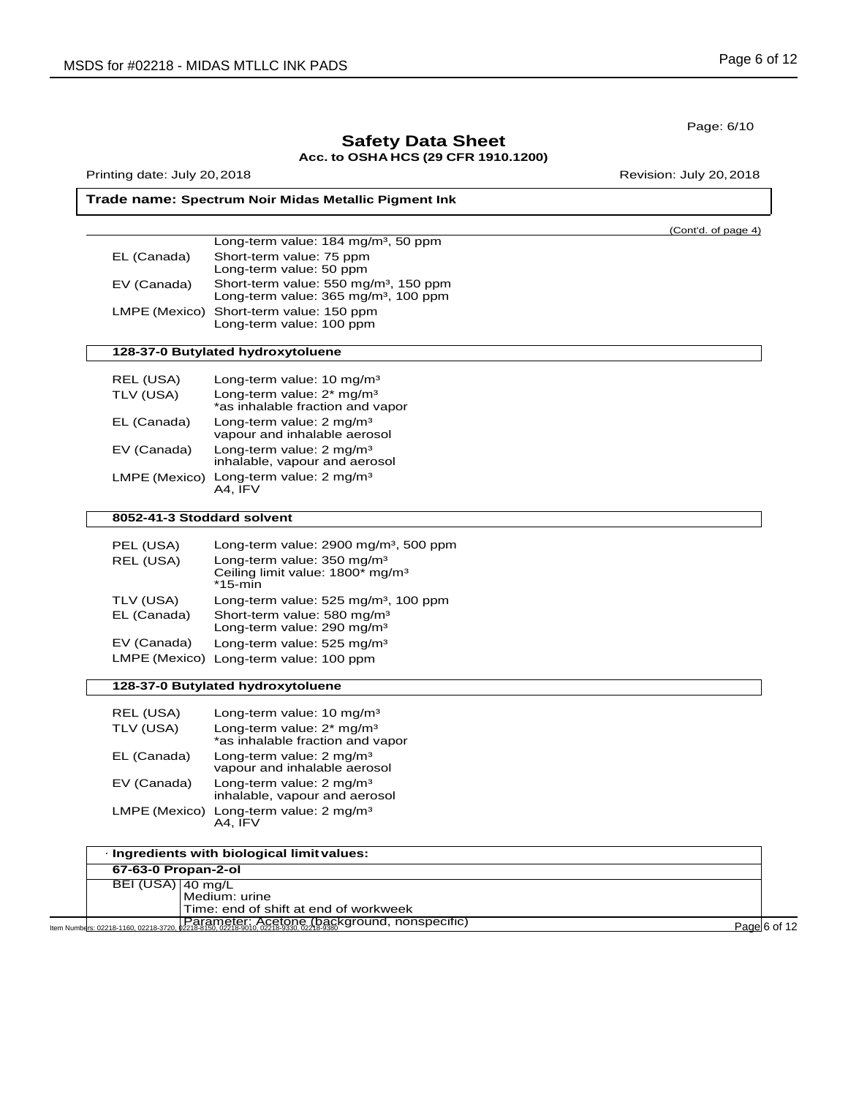| nent Ink         |                     |
|------------------|---------------------|
|                  | (Cont'd. of page 4) |
| 0 ppm            |                     |
|                  |                     |
| 50 ppm<br>00 ppm |                     |
|                  |                     |
|                  |                     |
|                  |                     |
|                  |                     |
| r                |                     |
|                  |                     |
|                  |                     |
|                  |                     |
|                  |                     |
|                  |                     |
| 500 ppm          |                     |
| З                |                     |
| 00 ppm           |                     |

| Trade name: Spectrum Noir Midas Metallic Pigment |  |
|--------------------------------------------------|--|
|                                                  |  |

**Safety Data Sheet Acc. to OSHA HCS (29 CFR 1910.1200)**

|             | Long-term value: 184 mg/m <sup>3</sup> , 50 ppm                                                       |
|-------------|-------------------------------------------------------------------------------------------------------|
| EL (Canada) | Short-term value: 75 ppm<br>Long-term value: 50 ppm                                                   |
| EV (Canada) | Short-term value: 550 mg/m <sup>3</sup> , 150 ppm<br>Long-term value: 365 mg/m <sup>3</sup> , 100 ppm |
|             | LMPE (Mexico) Short-term value: 150 ppm<br>Long-term value: 100 ppm                                   |

### **128-37-0 Butylated hydroxytoluene**

| REL (USA)     | Long-term value: 10 mg/m <sup>3</sup>                                     |
|---------------|---------------------------------------------------------------------------|
| TLV (USA)     | Long-term value: 2* mg/m <sup>3</sup><br>*as inhalable fraction and vapor |
| EL (Canada)   | Long-term value: $2 \text{ mg/m}^3$<br>vapour and inhalable aerosol       |
| EV (Canada)   | Long-term value: $2 \text{ mg/m}^3$<br>inhalable, vapour and aerosol      |
| LMPE (Mexico) | Long-term value: 2 mg/m <sup>3</sup><br>A4. IFV                           |

### **8052-41-3 Stoddard solvent**

| PEL (USA)   | Long-term value: 2900 mg/m <sup>3</sup> , 500 ppm                                                    |
|-------------|------------------------------------------------------------------------------------------------------|
| REL (USA)   | Long-term value: 350 mg/m <sup>3</sup><br>Ceiling limit value: 1800* mg/m <sup>3</sup><br>$*15$ -min |
| TLV (USA)   | Long-term value: 525 mg/m <sup>3</sup> , 100 ppm                                                     |
| EL (Canada) | Short-term value: 580 mg/m <sup>3</sup>                                                              |
|             |                                                                                                      |
| EV (Canada) | Long-term value: 525 mg/m <sup>3</sup>                                                               |
|             | LMPE (Mexico) Long-term value: 100 ppm                                                               |
|             | Long-term value: 290 mg/m <sup>3</sup>                                                               |

# **128-37-0 Butylated hydroxytoluene**

| Long-term value: 10 mg/m <sup>3</sup><br>Long-term value: 2* mg/m <sup>3</sup><br>*as inhalable fraction and vapor |
|--------------------------------------------------------------------------------------------------------------------|
| Long-term value: 2 mg/m <sup>3</sup><br>vapour and inhalable aerosol                                               |
| Long-term value: $2 \text{ mg/m}^3$<br>inhalable, vapour and aerosol                                               |
| Long-term value: 2 mg/m <sup>3</sup><br>A4. IFV                                                                    |
|                                                                                                                    |

|                     | · Ingredients with biological limit values:   |              |
|---------------------|-----------------------------------------------|--------------|
| 67-63-0 Propan-2-ol |                                               |              |
| BEI (USA) 40 mg/L   |                                               |              |
|                     | Medium: urine                                 |              |
|                     | Time: end of shift at end of workweek         |              |
|                     | Tearameter: Acetone (background, nonspecific) | Page 6 of 12 |

Page: 6/10

Printing date: July 20, 2018 **Printing date: July 20, 2018**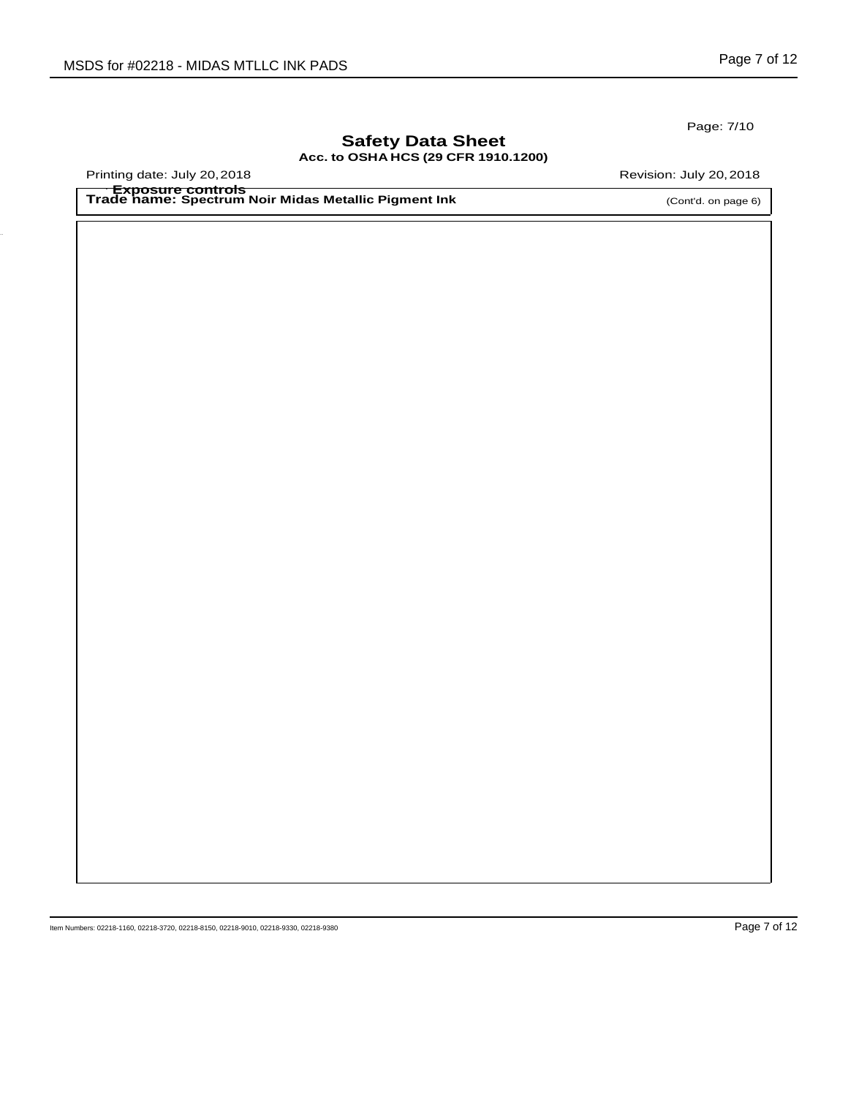Page: 7/10

# **Safety Data Sheet Acc. to OSHA HCS (29 CFR 1910.1200)**

Printing date: July 20, 2018 **Printing date: July 20, 2018** Revision: July 20, 2018

**Trade name: Spectrum Noir Midas Metallic Pigment Ink** · **Exposure controls**

(Cont'd. on page 6)

Item Numbers: 02218-1160, 02218-3720, 02218-8150, 02218-9010, 02218-9330, 02218-9380 Page 7 of 12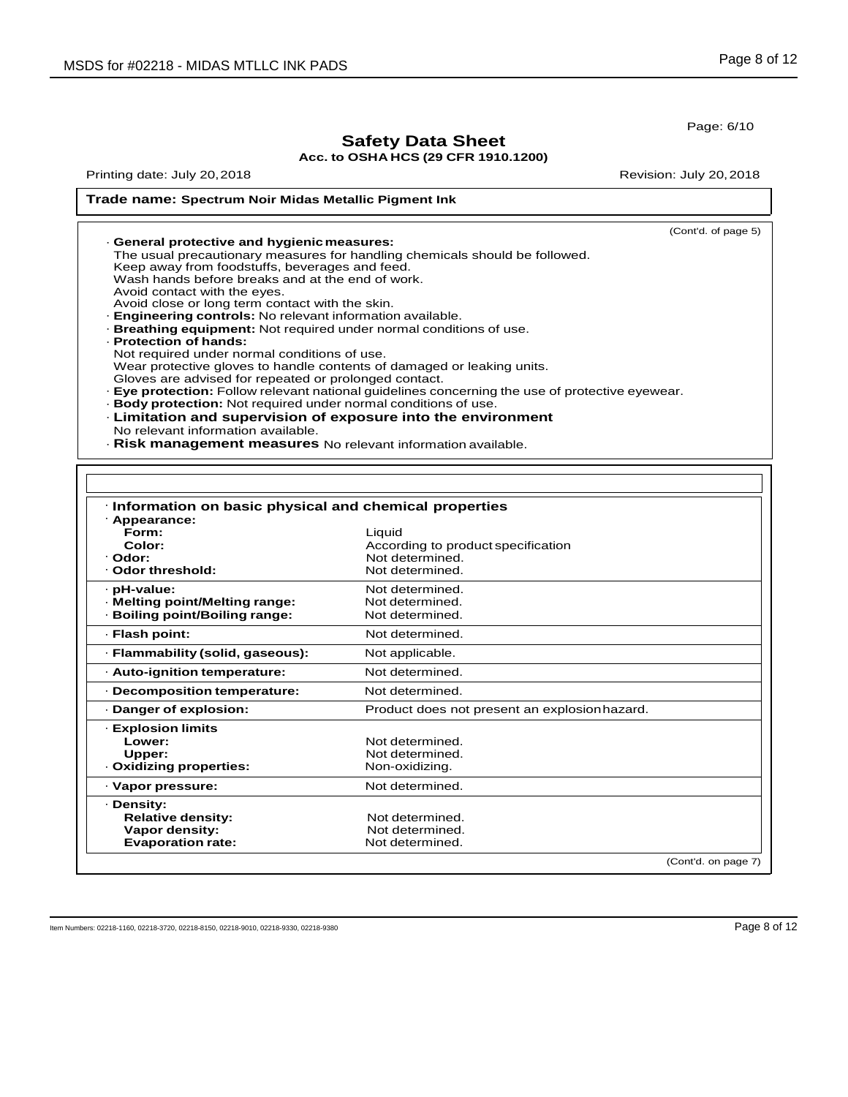Page: 6/10

# **Safety Data Sheet**

### **Acc. to OSHA HCS (29 CFR 1910.1200)**

Printing date: July 20, 2018 **Printing date: July 20, 2018** 

# **Trade name: Spectrum Noir Midas Metallic Pigment Ink**

| General protective and hygienic measures:<br>The usual precautionary measures for handling chemicals should be followed.<br>Keep away from foodstuffs, beverages and feed.<br>Wash hands before breaks and at the end of work.<br>Avoid contact with the eyes.<br>Avoid close or long term contact with the skin.<br><b>Engineering controls:</b> No relevant information available.<br><b>Breathing equipment:</b> Not required under normal conditions of use.<br>- Protection of hands:<br>Not required under normal conditions of use.<br>Wear protective gloves to handle contents of damaged or leaking units.<br>Gloves are advised for repeated or prolonged contact. | (Cont'd. of page 5) |
|-------------------------------------------------------------------------------------------------------------------------------------------------------------------------------------------------------------------------------------------------------------------------------------------------------------------------------------------------------------------------------------------------------------------------------------------------------------------------------------------------------------------------------------------------------------------------------------------------------------------------------------------------------------------------------|---------------------|
|                                                                                                                                                                                                                                                                                                                                                                                                                                                                                                                                                                                                                                                                               |                     |
|                                                                                                                                                                                                                                                                                                                                                                                                                                                                                                                                                                                                                                                                               |                     |
|                                                                                                                                                                                                                                                                                                                                                                                                                                                                                                                                                                                                                                                                               |                     |
|                                                                                                                                                                                                                                                                                                                                                                                                                                                                                                                                                                                                                                                                               |                     |
|                                                                                                                                                                                                                                                                                                                                                                                                                                                                                                                                                                                                                                                                               |                     |
|                                                                                                                                                                                                                                                                                                                                                                                                                                                                                                                                                                                                                                                                               |                     |
|                                                                                                                                                                                                                                                                                                                                                                                                                                                                                                                                                                                                                                                                               |                     |
| <b>Eye protection:</b> Follow relevant national quidelines concerning the use of protective eyewear.                                                                                                                                                                                                                                                                                                                                                                                                                                                                                                                                                                          |                     |
| <b>Body protection:</b> Not required under normal conditions of use.                                                                                                                                                                                                                                                                                                                                                                                                                                                                                                                                                                                                          |                     |
| <b>Limitation and supervision of exposure into the environment</b>                                                                                                                                                                                                                                                                                                                                                                                                                                                                                                                                                                                                            |                     |
| No relevant information available.                                                                                                                                                                                                                                                                                                                                                                                                                                                                                                                                                                                                                                            |                     |
| . Risk management measures No relevant information available.                                                                                                                                                                                                                                                                                                                                                                                                                                                                                                                                                                                                                 |                     |
|                                                                                                                                                                                                                                                                                                                                                                                                                                                                                                                                                                                                                                                                               |                     |

| · Appearance:<br>Form:           | Liquid                                        |  |
|----------------------------------|-----------------------------------------------|--|
| Color:                           | According to product specification            |  |
| · Odor:                          | Not determined.                               |  |
| Odor threshold:                  | Not determined.                               |  |
| · pH-value:                      | Not determined.                               |  |
| · Melting point/Melting range:   | Not determined.                               |  |
| · Boiling point/Boiling range:   | Not determined.                               |  |
| · Flash point:                   | Not determined.                               |  |
| · Flammability (solid, gaseous): | Not applicable.                               |  |
| · Auto-ignition temperature:     | Not determined.                               |  |
| - Decomposition temperature:     | Not determined.                               |  |
| Danger of explosion:             | Product does not present an explosion hazard. |  |
| · Explosion limits               |                                               |  |
| Lower:                           | Not determined.                               |  |
| Upper:                           | Not determined.                               |  |
| Oxidizing properties:            | Non-oxidizing.                                |  |
| · Vapor pressure:                | Not determined.                               |  |
| · Density:                       |                                               |  |
| <b>Relative density:</b>         | Not determined.                               |  |
| Vapor density:                   | Not determined.                               |  |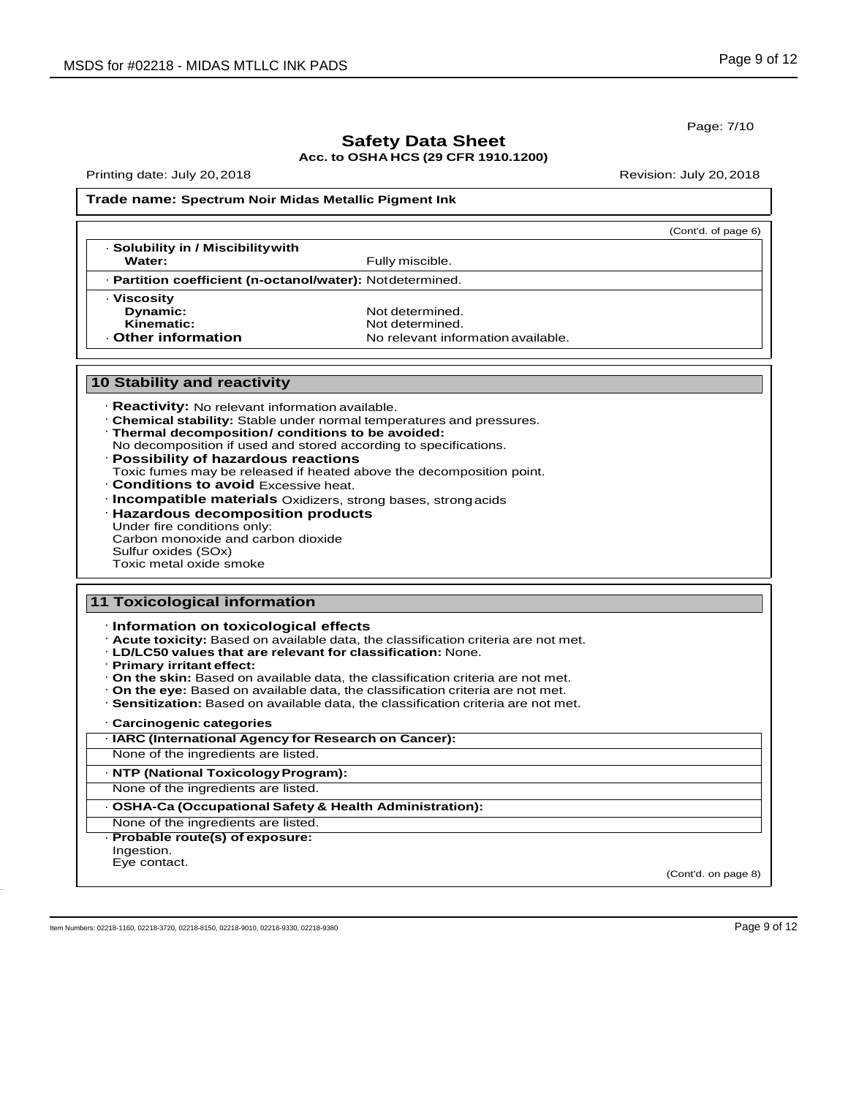Page: 7/10

# **Safety Data Sheet**

**Acc. to OSHA HCS (29 CFR 1910.1200)**

Printing date: July 20,2018 Revision: July 20,2018

#### **Trade name: Spectrum Noir Midas Metallic Pigment Ink**

|                                                                                                        |                                                                     | (Cont'd. of page 6) |
|--------------------------------------------------------------------------------------------------------|---------------------------------------------------------------------|---------------------|
| · Solubility in / Miscibility with                                                                     |                                                                     |                     |
| Water:                                                                                                 | Fully miscible.                                                     |                     |
| · Partition coefficient (n-octanol/water): Notdetermined.                                              |                                                                     |                     |
| · Viscosity                                                                                            |                                                                     |                     |
| <b>Dynamic:</b>                                                                                        | Not determined.                                                     |                     |
| Kinematic:                                                                                             | Not determined.                                                     |                     |
| - Other information                                                                                    | No relevant information available.                                  |                     |
| <b>10 Stability and reactivity</b>                                                                     |                                                                     |                     |
| · Reactivity: No relevant information available.<br>. Thermal decomposition/ conditions to be avoided: | Chemical stability: Stable under normal temperatures and pressures. |                     |

- No decomposition if used and stored according to specifications.
- · **Possibility of hazardous reactions** Toxic fumes may be released if heated above the decomposition point.
- · **Conditions to avoid** Excessive heat.
- · **Incompatible materials** Oxidizers, strong bases, strongacids
- · **Hazardous decomposition products** Under fire conditions only: Carbon monoxide and carbon dioxide

Sulfur oxides (SOx)

Toxic metal oxide smoke

#### · **Information on toxicological effects** · **Acute toxicity:** Based on available data, the classification criteria are not met. · **LD/LC50 values that are relevant for classification:** None. · **Primary irritant effect:** · **On the skin:** Based on available data, the classification criteria are not met. · **On the eye:** Based on available data, the classification criteria are not met. · **Sensitization:** Based on available data, the classification criteria are not met. · **Carcinogenic categories 11 Toxicological information** · **IARC (International Agency for Research on Cancer):** None of the ingredients are listed.

· **NTP (National ToxicologyProgram):** None of the ingredients are listed.

· **OSHA-Ca (Occupational Safety & Health Administration):**

- None of the ingredients are listed.
- · **Probable route(s) of exposure:**

Ingestion. Eye contact.

(Cont'd. on page 8)

Item Numbers: 02218-1160, 02218-3720, 02218-8150, 02218-9010, 02218-9330, 02218-9380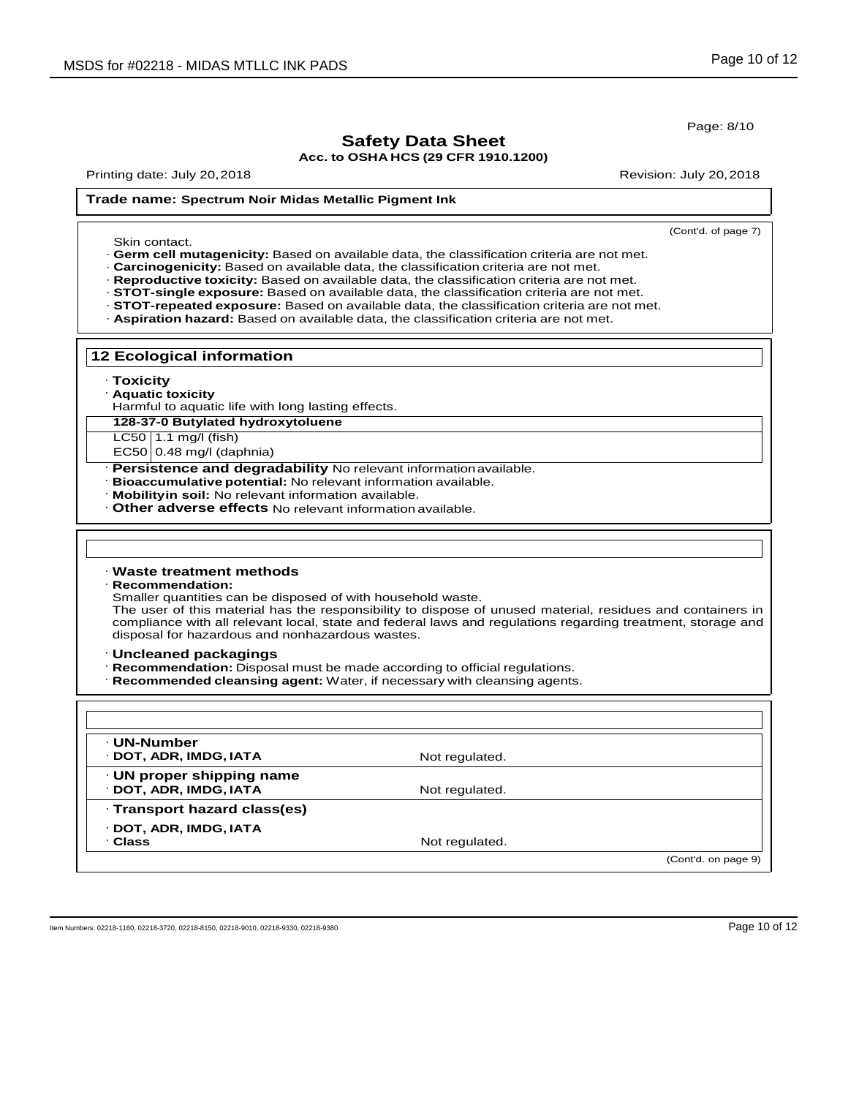Page: 8/10

# **Safety Data Sheet**

**Acc. to OSHA HCS (29 CFR 1910.1200)**

Printing date: July 20, 2018 **Printing date: July 20, 2018** 

# **Trade name: Spectrum Noir Midas Metallic Pigment Ink**

| Skin contact.                                                                                                                                                                     | (Cont'd. of page 7)                                                                                                                                                                                                                                                                                                                                                                   |
|-----------------------------------------------------------------------------------------------------------------------------------------------------------------------------------|---------------------------------------------------------------------------------------------------------------------------------------------------------------------------------------------------------------------------------------------------------------------------------------------------------------------------------------------------------------------------------------|
| · Carcinogenicity: Based on available data, the classification criteria are not met.                                                                                              | · Germ cell mutagenicity: Based on available data, the classification criteria are not met.<br>· Reproductive toxicity: Based on available data, the classification criteria are not met.<br>· STOT-single exposure: Based on available data, the classification criteria are not met.<br>· STOT-repeated exposure: Based on available data, the classification criteria are not met. |
| · Aspiration hazard: Based on available data, the classification criteria are not met.                                                                                            |                                                                                                                                                                                                                                                                                                                                                                                       |
| <b>12 Ecological information</b>                                                                                                                                                  |                                                                                                                                                                                                                                                                                                                                                                                       |
| · Toxicity<br>· Aquatic toxicity<br>Harmful to aquatic life with long lasting effects.                                                                                            |                                                                                                                                                                                                                                                                                                                                                                                       |
| 128-37-0 Butylated hydroxytoluene                                                                                                                                                 |                                                                                                                                                                                                                                                                                                                                                                                       |
| LC50   1.1 mg/l (fish)                                                                                                                                                            |                                                                                                                                                                                                                                                                                                                                                                                       |
| $EC50 0.48$ mg/l (daphnia)<br>· Persistence and degradability No relevant information available.                                                                                  |                                                                                                                                                                                                                                                                                                                                                                                       |
| Bioaccumulative potential: No relevant information available.<br>Mobility in soil: No relevant information available.<br>Other adverse effects No relevant information available. |                                                                                                                                                                                                                                                                                                                                                                                       |
|                                                                                                                                                                                   |                                                                                                                                                                                                                                                                                                                                                                                       |
| $\cdot$ Waste treatment methods<br><b>Recommendation:</b><br>Smaller quantities can be disposed of with household waste.<br>disposal for hazardous and nonhazardous wastes.       | The user of this material has the responsibility to dispose of unused material, residues and containers in<br>compliance with all relevant local, state and federal laws and regulations regarding treatment, storage and                                                                                                                                                             |
| · Uncleaned packagings<br>· Recommendation: Disposal must be made according to official regulations.<br>· Recommended cleansing agent: Water, if necessary with cleansing agents. |                                                                                                                                                                                                                                                                                                                                                                                       |
|                                                                                                                                                                                   |                                                                                                                                                                                                                                                                                                                                                                                       |
| · UN-Number<br>· DOT, ADR, IMDG, IATA                                                                                                                                             | Not regulated.                                                                                                                                                                                                                                                                                                                                                                        |
| · UN proper shipping name<br>· DOT, ADR, IMDG, IATA                                                                                                                               | Not regulated.                                                                                                                                                                                                                                                                                                                                                                        |
| · Transport hazard class(es)                                                                                                                                                      |                                                                                                                                                                                                                                                                                                                                                                                       |
| · DOT, ADR, IMDG, IATA                                                                                                                                                            |                                                                                                                                                                                                                                                                                                                                                                                       |

(Cont'd. on page 9)

Item Numbers: 02218-1160, 02218-3720, 02218-8150, 02218-9010, 02218-9330, 02218-9380 Page 10 of 12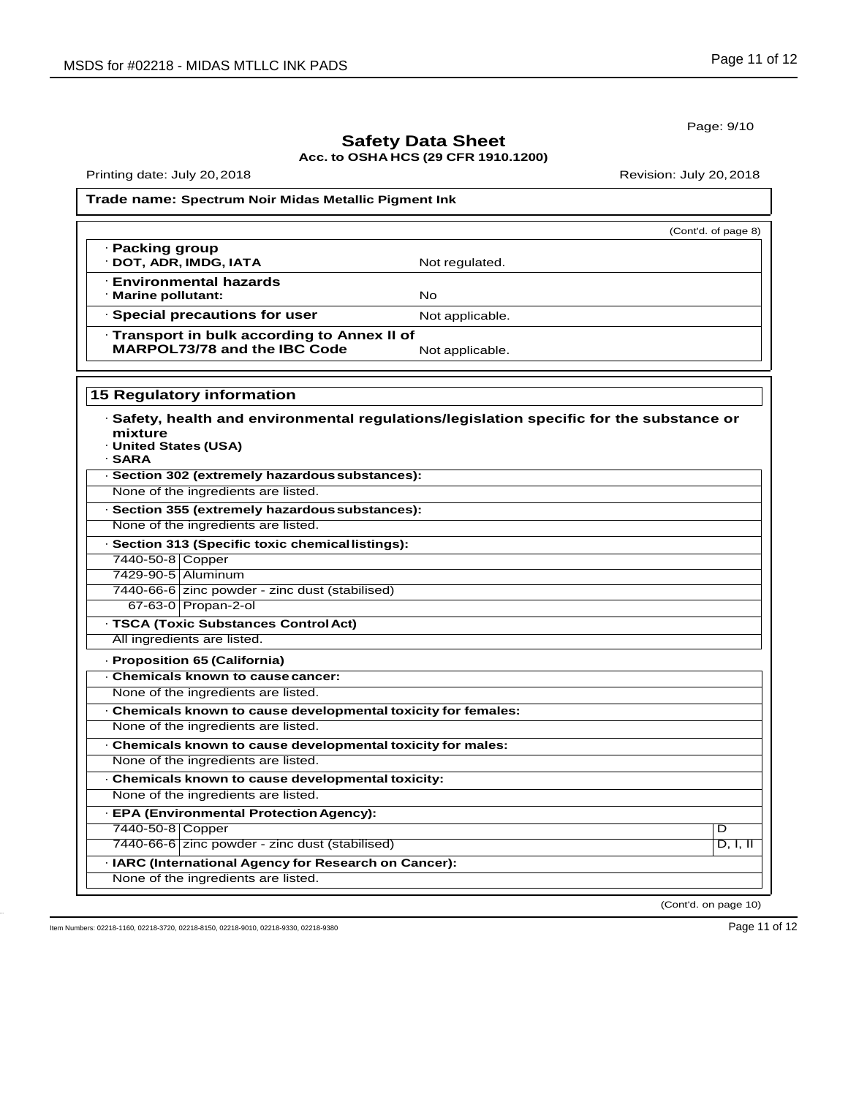Page: 9/10

# **Safety Data Sheet Acc. to OSHA HCS (29 CFR 1910.1200)**

Printing date: July 20, 2018 **Printing date: July 20, 2018** 

#### **Trade name: Spectrum Noir Midas Metallic Pigment Ink**

|                                              |                 | (Cont'd. of page 8) |
|----------------------------------------------|-----------------|---------------------|
| · Packing group<br>· DOT, ADR, IMDG, IATA    | Not regulated.  |                     |
|                                              |                 |                     |
| <b>Environmental hazards</b>                 |                 |                     |
| · Marine pollutant:                          | No              |                     |
| · Special precautions for user               | Not applicable. |                     |
| · Transport in bulk according to Annex II of |                 |                     |
| MARPOL73/78 and the IBC Code                 | Not applicable. |                     |

**15 Regulatory information**

| mixture<br>· United States (USA)<br>· SARA | $\cdot$ Safety, health and environmental regulations/legislation specific for the substance or |                      |
|--------------------------------------------|------------------------------------------------------------------------------------------------|----------------------|
|                                            | · Section 302 (extremely hazardous substances):                                                |                      |
|                                            | None of the ingredients are listed.                                                            |                      |
|                                            | · Section 355 (extremely hazardous substances):                                                |                      |
|                                            | None of the ingredients are listed.                                                            |                      |
|                                            | · Section 313 (Specific toxic chemicallistings):                                               |                      |
| 7440-50-8 Copper                           |                                                                                                |                      |
| 7429-90-5 Aluminum                         |                                                                                                |                      |
|                                            | 7440-66-6 zinc powder - zinc dust (stabilised)                                                 |                      |
|                                            | 67-63-0 Propan-2-ol                                                                            |                      |
|                                            | · TSCA (Toxic Substances Control Act)                                                          |                      |
|                                            | All ingredients are listed.                                                                    |                      |
|                                            | · Proposition 65 (California)                                                                  |                      |
|                                            | . Chemicals known to cause cancer:                                                             |                      |
|                                            | None of the ingredients are listed.                                                            |                      |
|                                            | · Chemicals known to cause developmental toxicity for females:                                 |                      |
|                                            | None of the ingredients are listed.                                                            |                      |
|                                            | Chemicals known to cause developmental toxicity for males:                                     |                      |
|                                            | None of the ingredients are listed.                                                            |                      |
|                                            | . Chemicals known to cause developmental toxicity:                                             |                      |
|                                            | None of the ingredients are listed.                                                            |                      |
|                                            | - EPA (Environmental Protection Agency):                                                       |                      |
| 7440-50-8 Copper                           |                                                                                                | D                    |
|                                            | 7440-66-6 zinc powder - zinc dust (stabilised)                                                 | D, I, II             |
|                                            | · IARC (International Agency for Research on Cancer):                                          |                      |
|                                            | None of the ingredients are listed.                                                            |                      |
|                                            |                                                                                                | (Cont'd. on page 10) |

Item Numbers: 02218-1160, 02218-3720, 02218-8150, 02218-9010, 02218-9330, 02218-9380 Page 11 of 12